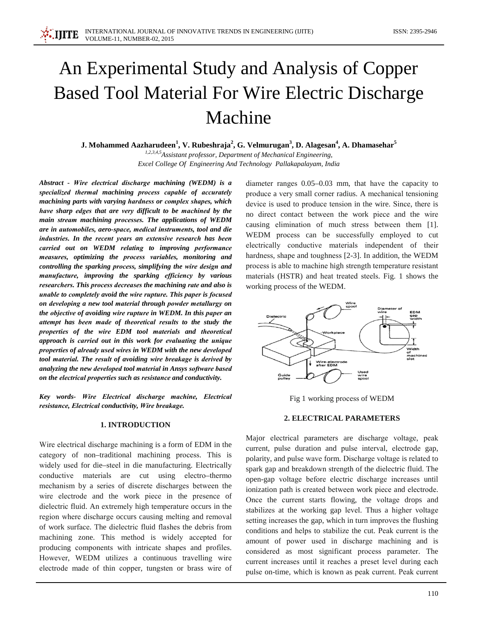# An Experimental Study and Analysis of Copper **Based Tool Material For Wire Electric Discharge** Machine

J. Mohammed Aazharudeen<sup>1</sup>, V. Rubeshraja<sup>2</sup>, G. Velmurugan<sup>3</sup>, D. Alagesan<sup>4</sup>, A. Dhamasehar<sup>5</sup> 1,2,3,4,5 Assistant professor, Department of Mechanical Engineering, Excel College Of Engineering And Technology Pallakapalayam, India

Abstract - Wire electrical discharge machining (WEDM) is a specialized thermal machining process capable of accurately machining parts with varying hardness or complex shapes, which have sharp edges that are very difficult to be machined by the main stream machining processes. The applications of WEDM are in automobiles, aero-space, medical instruments, tool and die industries. In the recent years an extensive research has been carried out on WEDM relating to improving performance measures, optimizing the process variables, monitoring and controlling the sparking process, simplifying the wire design and manufacture, improving the sparking efficiency by various researchers. This process decreases the machining rate and also is unable to completely avoid the wire rupture. This paper is focused on developing a new tool material through powder metallurgy on the objective of avoiding wire rupture in WEDM. In this paper an attempt has been made of theoretical results to the study the properties of the wire EDM tool materials and theoretical approach is carried out in this work for evaluating the unique properties of already used wires in WEDM with the new developed tool material. The result of avoiding wire breakage is derived by analyzing the new developed tool material in Ansys software based on the electrical properties such as resistance and conductivity.

.IIITE

Key words- Wire Electrical discharge machine, Electrical resistance, Electrical conductivity, Wire breakage.

## **1. INTRODUCTION**

Wire electrical discharge machining is a form of EDM in the category of non-traditional machining process. This is widely used for die-steel in die manufacturing. Electrically conductive materials are cut using electro-thermo mechanism by a series of discrete discharges between the wire electrode and the work piece in the presence of dielectric fluid. An extremely high temperature occurs in the region where discharge occurs causing melting and removal of work surface. The dielectric fluid flashes the debris from machining zone. This method is widely accepted for producing components with intricate shapes and profiles. However, WEDM utilizes a continuous travelling wire electrode made of thin copper, tungsten or brass wire of

diameter ranges  $0.05-0.03$  mm, that have the capacity to produce a very small corner radius. A mechanical tensioning device is used to produce tension in the wire. Since, there is no direct contact between the work piece and the wire causing elimination of much stress between them [1]. WEDM process can be successfully employed to cut electrically conductive materials independent of their hardness, shape and toughness [2-3]. In addition, the WEDM process is able to machine high strength temperature resistant materials (HSTR) and heat treated steels. Fig. 1 shows the working process of the WEDM.



Fig 1 working process of WEDM

#### 2. ELECTRICAL PARAMETERS

Major electrical parameters are discharge voltage, peak current, pulse duration and pulse interval, electrode gap, polarity, and pulse wave form. Discharge voltage is related to spark gap and breakdown strength of the dielectric fluid. The open-gap voltage before electric discharge increases until ionization path is created between work piece and electrode. Once the current starts flowing, the voltage drops and stabilizes at the working gap level. Thus a higher voltage setting increases the gap, which in turn improves the flushing conditions and helps to stabilize the cut. Peak current is the amount of power used in discharge machining and is considered as most significant process parameter. The current increases until it reaches a preset level during each pulse on-time, which is known as peak current. Peak current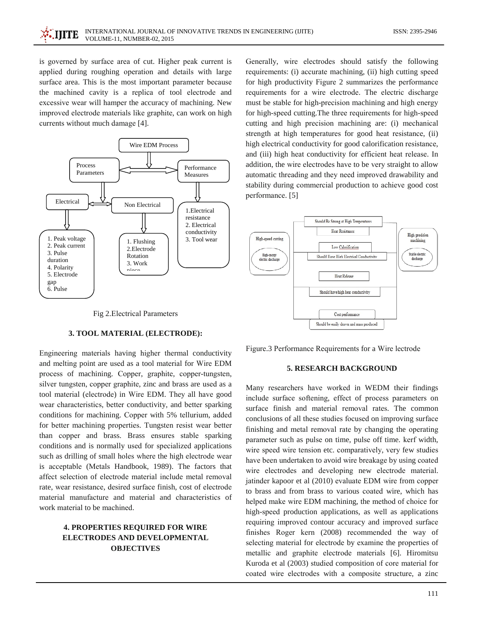is governed by surface area of cut. Higher peak current is applied during roughing operation and details with large surface area. This is the most important parameter because the machined cavity is a replica of tool electrode and excessive wear will hamper the accuracy of machining. New improved electrode materials like graphite, can work on high currents without much damage [4].



Fig 2. Electrical Parameters

#### 3. TOOL MATERIAL (ELECTRODE):

Engineering materials having higher thermal conductivity and melting point are used as a tool material for Wire EDM process of machining. Copper, graphite, copper-tungsten, silver tungsten, copper graphite, zinc and brass are used as a tool material (electrode) in Wire EDM. They all have good wear characteristics, better conductivity, and better sparking conditions for machining. Copper with 5% tellurium, added for better machining properties. Tungsten resist wear better than copper and brass. Brass ensures stable sparking conditions and is normally used for specialized applications such as drilling of small holes where the high electrode wear is acceptable (Metals Handbook, 1989). The factors that affect selection of electrode material include metal removal rate, wear resistance, desired surface finish, cost of electrode material manufacture and material and characteristics of work material to be machined.

## **4. PROPERTIES REQUIRED FOR WIRE ELECTRODES AND DEVELOPMENTAL OBJECTIVES**

Generally, wire electrodes should satisfy the following requirements: (i) accurate machining, (ii) high cutting speed for high productivity Figure 2 summarizes the performance requirements for a wire electrode. The electric discharge must be stable for high-precision machining and high energy for high-speed cutting. The three requirements for high-speed cutting and high precision machining are: (i) mechanical strength at high temperatures for good heat resistance, (ii) high electrical conductivity for good calorification resistance, and (iii) high heat conductivity for efficient heat release. In addition, the wire electrodes have to be very straight to allow automatic threading and they need improved drawability and stability during commercial production to achieve good cost performance. [5]



Figure.3 Performance Requirements for a Wire lectrode

## 5. RESEARCH BACKGROUND

Many researchers have worked in WEDM their findings include surface softening, effect of process parameters on surface finish and material removal rates. The common conclusions of all these studies focused on improving surface finishing and metal removal rate by changing the operating parameter such as pulse on time, pulse off time. kerf width, wire speed wire tension etc. comparatively, very few studies have been undertaken to avoid wire breakage by using coated wire electrodes and developing new electrode material. jatinder kapoor et al (2010) evaluate EDM wire from copper to brass and from brass to various coated wire, which has helped make wire EDM machining, the method of choice for high-speed production applications, as well as applications requiring improved contour accuracy and improved surface finishes Roger kern (2008) recommended the way of selecting material for electrode by examine the properties of metallic and graphite electrode materials [6]. Hiromitsu Kuroda et al (2003) studied composition of core material for coated wire electrodes with a composite structure, a zinc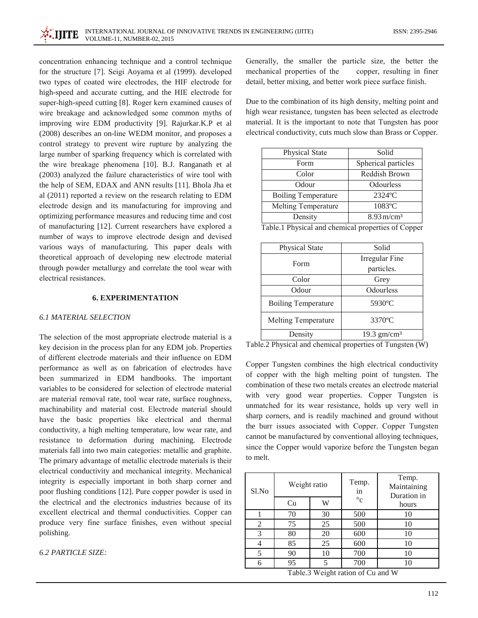concentration enhancing technique and a control technique for the structure [7]. Seigi Aoyama et al (1999). developed two types of coated wire electrodes, the HIF electrode for high-speed and accurate cutting, and the HIE electrode for super-high-speed cutting [8]. Roger kern examined causes of wire breakage and acknowledged some common myths of improving wire EDM productivity [9]. Rajurkar.K.P et al (2008) describes an on-line WEDM monitor, and proposes a control strategy to prevent wire rupture by analyzing the large number of sparking frequency which is correlated with the wire breakage phenomena [10]. B.J. Ranganath et al (2003) analyzed the failure characteristics of wire tool with the help of SEM, EDAX and ANN results [11]. Bhola Jha et al (2011) reported a review on the research relating to EDM electrode design and its manufacturing for improving and optimizing performance measures and reducing time and cost of manufacturing [12]. Current researchers have explored a number of ways to improve electrode design and devised various ways of manufacturing. This paper deals with theoretical approach of developing new electrode material through powder metallurgy and correlate the tool wear with electrical resistances.

## **6. EXPERIMENTATION**

#### **6.1 MATERIAL SELECTION**

The selection of the most appropriate electrode material is a key decision in the process plan for any EDM job. Properties of different electrode materials and their influence on EDM performance as well as on fabrication of electrodes have been summarized in EDM handbooks. The important variables to be considered for selection of electrode material are material removal rate, tool wear rate, surface roughness, machinability and material cost. Electrode material should have the basic properties like electrical and thermal conductivity, a high melting temperature, low wear rate, and resistance to deformation during machining. Electrode materials fall into two main categories: metallic and graphite. The primary advantage of metallic electrode materials is their electrical conductivity and mechanical integrity. Mechanical integrity is especially important in both sharp corner and poor flushing conditions [12]. Pure copper powder is used in the electrical and the electronics industries because of its excellent electrical and thermal conductivities. Copper can produce very fine surface finishes, even without special polishing.

**6.2 PARTICLE SIZE:** 

Generally, the smaller the particle size, the better the mechanical properties of the copper, resulting in finer detail, better mixing, and better work piece surface finish.

Due to the combination of its high density, melting point and high wear resistance, tungsten has been selected as electrode material. It is the important to note that Tungsten has poor electrical conductivity, cuts much slow than Brass or Copper.

| Physical State                                     | Solid                    |  |  |
|----------------------------------------------------|--------------------------|--|--|
| Form                                               | Spherical particles      |  |  |
| Color                                              | Reddish Brown            |  |  |
| Odour                                              | Odourless                |  |  |
| <b>Boiling Temperature</b>                         | $2324$ °C                |  |  |
| Melting Temperature                                | 1083°C                   |  |  |
| Density                                            | $8.93 \,\mathrm{m/cm^3}$ |  |  |
| Table.1 Physical and chemical properties of Copper |                          |  |  |

| <b>Physical State</b>      | Solid                     |  |  |
|----------------------------|---------------------------|--|--|
| Form                       | Irregular Fine            |  |  |
|                            | particles.                |  |  |
| Color<br>Odour             | Grey<br>Odourless         |  |  |
|                            |                           |  |  |
| <b>Boiling Temperature</b> | 5930°C                    |  |  |
| Melting Temperature        | 3370°C                    |  |  |
| Density                    | $19.3$ gm/cm <sup>3</sup> |  |  |

Table.2 Physical and chemical properties of Tungsten  $(\overline{W})$ 

Copper Tungsten combines the high electrical conductivity of copper with the high melting point of tungsten. The combination of these two metals creates an electrode material with very good wear properties. Copper Tungsten is unmatched for its wear resistance, holds up very well in sharp corners, and is readily machined and ground without the burr issues associated with Copper. Copper Tungsten cannot be manufactured by conventional alloying techniques, since the Copper would vaporize before the Tungsten began to melt.

| Sl.No | Weight ratio |    | Temp.<br>in | Temp.<br>Maintaining<br>Duration in |  |
|-------|--------------|----|-------------|-------------------------------------|--|
|       | Cu           | W  | $\circ$ c   | hours                               |  |
|       | 70           | 30 | 500         | 10                                  |  |
| 2     | 75           | 25 | 500         | 10                                  |  |
| 3     | 80           | 20 | 600         | 10                                  |  |
|       | 85           | 25 | 600         | 10                                  |  |
| 5     | 90           | 10 | 700         | 10                                  |  |
| 6     | 95           |    | 700         | 10                                  |  |

Table.3 Weight ration of Cu and W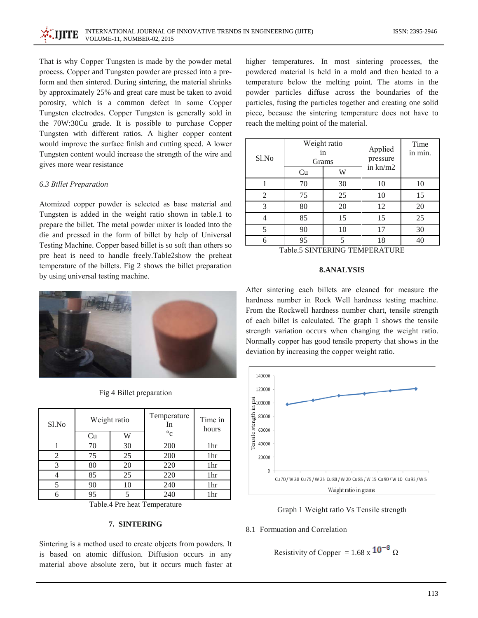That is why Copper Tungsten is made by the powder metal process. Copper and Tungsten powder are pressed into a preform and then sintered. During sintering, the material shrinks by approximately 25% and great care must be taken to avoid porosity, which is a common defect in some Copper Tungsten electrodes. Copper Tungsten is generally sold in the 70W:30Cu grade. It is possible to purchase Copper Tungsten with different ratios. A higher copper content would improve the surface finish and cutting speed. A lower Tungsten content would increase the strength of the wire and gives more wear resistance

## 6.3 Billet Preparation

Atomized copper powder is selected as base material and Tungsten is added in the weight ratio shown in table.1 to prepare the billet. The metal powder mixer is loaded into the die and pressed in the form of billet by help of Universal Testing Machine. Copper based billet is so soft than others so pre heat is need to handle freely.Table2show the preheat temperature of the billets. Fig 2 shows the billet preparation by using universal testing machine.



Fig 4 Billet preparation

| Sl.No | Weight ratio |    | Temperature<br>In | Time in<br>hours |  |
|-------|--------------|----|-------------------|------------------|--|
|       | Cu           | W  | $\circ$ c         |                  |  |
|       | 70           | 30 | 200               | 1hr              |  |
| 2     | 75           | 25 | 200               | 1hr              |  |
| 3     | 80           | 20 | 220               | 1hr              |  |
|       | 85           | 25 | 220               | 1hr              |  |
|       | 90           | 10 | 240               | 1hr              |  |
|       | 95           | 5  | 240               | 1hr              |  |

Table.4 Pre heat Temperature

## 7. SINTERING

Sintering is a method used to create objects from powders. It is based on atomic diffusion. Diffusion occurs in any material above absolute zero, but it occurs much faster at higher temperatures. In most sintering processes, the powdered material is held in a mold and then heated to a temperature below the melting point. The atoms in the powder particles diffuse across the boundaries of the particles, fusing the particles together and creating one solid piece, because the sintering temperature does not have to reach the melting point of the material.

| Sl.No | Weight ratio<br>in<br>Grams |    | Applied<br>pressure | Time<br>in min. |  |
|-------|-----------------------------|----|---------------------|-----------------|--|
|       | Cu                          | W  | in kn/m2            |                 |  |
|       | 70                          | 30 | 10                  | 10              |  |
| 2     | 75                          | 25 | 10                  | 15              |  |
| 3     | 80                          | 20 | 12                  | 20              |  |
|       | 85                          | 15 | 15                  | 25              |  |
| 5     | 90                          | 10 | 17                  | 30              |  |
|       | 95                          | 5  | 18                  | 40              |  |

Table.5 SINTERING TEMPERATURE

#### **8.ANALYSIS**

After sintering each billets are cleaned for measure the hardness number in Rock Well hardness testing machine. From the Rockwell hardness number chart, tensile strength of each billet is calculated. The graph 1 shows the tensile strength variation occurs when changing the weight ratio. Normally copper has good tensile property that shows in the deviation by increasing the copper weight ratio.





#### 8.1 Formuation and Correlation

```
Resistivity of Copper = 1.68 x 10^{-8} \Omega
```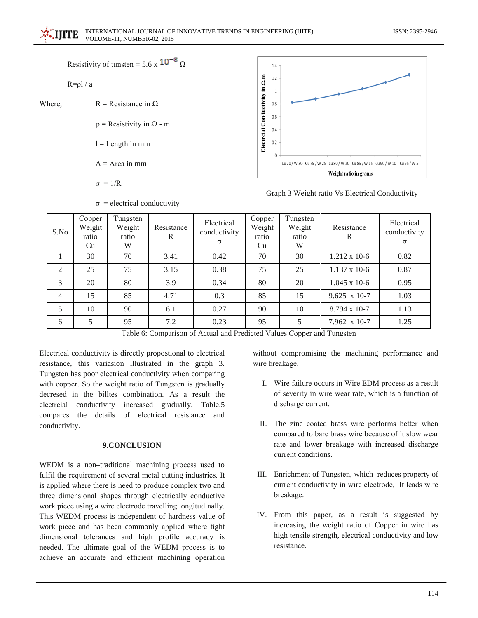Resistivity of tunsten = 5.6 x  $10^{-8}$   $\Omega$ 

$$
R = \rho l / a
$$

Where.

 $\rho$  = Resistivity in  $\Omega$  - m

 $R =$ Resistance in O.

 $l =$ Length in mm

 $A = Area in mm$ 

 $\sigma = 1/R$ 



Graph 3 Weight ratio Vs Electrical Conductivity

| S.No           | Copper<br>Weight<br>ratio<br>Cu | Tungsten<br>Weight<br>ratio<br>W | Resistance<br>R | Electrical<br>conductivity<br>$\sigma$ | Copper<br>Weight<br>ratio<br>Cu | Tungsten<br>Weight<br>ratio<br>W | Resistance<br>R        | Electrical<br>conductivity<br>$\sigma$ |
|----------------|---------------------------------|----------------------------------|-----------------|----------------------------------------|---------------------------------|----------------------------------|------------------------|----------------------------------------|
|                | 30                              | 70                               | 3.41            | 0.42                                   | 70                              | 30                               | $1.212 \times 10^{-6}$ | 0.82                                   |
| 2              | 25                              | 75                               | 3.15            | 0.38                                   | 75                              | 25                               | $1.137 \times 10-6$    | 0.87                                   |
| 3              | 20                              | 80                               | 3.9             | 0.34                                   | 80                              | 20                               | $1.045 \times 10^{-6}$ | 0.95                                   |
| $\overline{4}$ | 15                              | 85                               | 4.71            | 0.3                                    | 85                              | 15                               | $9.625 \times 10-7$    | 1.03                                   |
| 5              | 10                              | 90                               | 6.1             | 0.27                                   | 90                              | 10                               | 8.794 x 10-7           | 1.13                                   |
| 6              | 5                               | 95                               | 7.2             | 0.23                                   | 95                              |                                  | $7.962 \times 10-7$    | 1.25                                   |

 $\sigma$  = electrical conductivity

Table 6: Comparison of Actual and Predicted Values Copper and Tungsten

Electrical conductivity is directly propostional to electrical resistance, this variasion illustrated in the graph 3. Tungsten has poor electrical conductivity when comparing with copper. So the weight ratio of Tungsten is gradually decresed in the billtes combination. As a result the electrcial conductivity increased gradually. Table.5 compares the details of electrical resistance and conductivity.

## 9.CONCLUSION

WEDM is a non-traditional machining process used to fulfil the requirement of several metal cutting industries. It is applied where there is need to produce complex two and three dimensional shapes through electrically conductive work piece using a wire electrode travelling longitudinally. This WEDM process is independent of hardness value of work piece and has been commonly applied where tight dimensional tolerances and high profile accuracy is needed. The ultimate goal of the WEDM process is to achieve an accurate and efficient machining operation

without compromising the machining performance and wire breakage.

- I. Wire failure occurs in Wire EDM process as a result of severity in wire wear rate, which is a function of discharge current.
- II. The zinc coated brass wire performs better when compared to bare brass wire because of it slow wear rate and lower breakage with increased discharge current conditions.
- III. Enrichment of Tungsten, which reduces property of current conductivity in wire electrode, It leads wire breakage.
- IV. From this paper, as a result is suggested by increasing the weight ratio of Copper in wire has high tensile strength, electrical conductivity and low resistance.